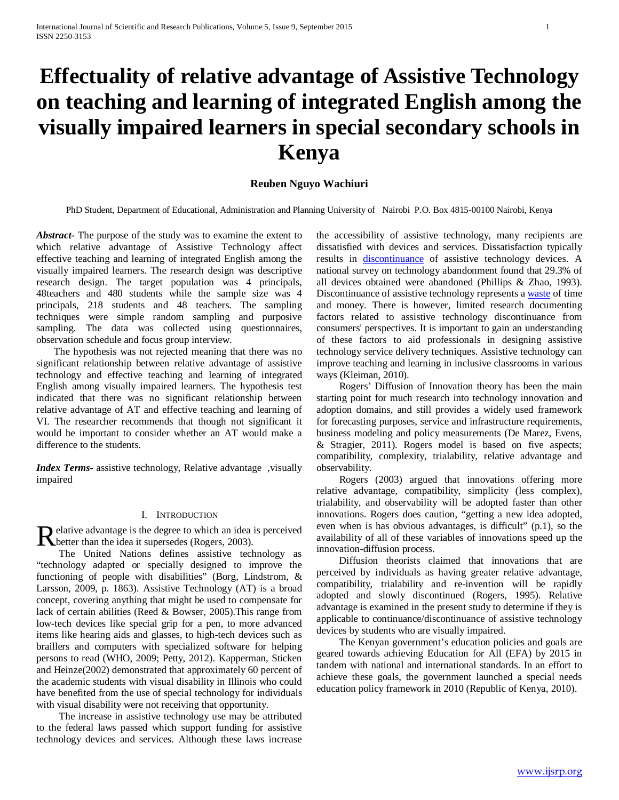# **Effectuality of relative advantage of Assistive Technology on teaching and learning of integrated English among the visually impaired learners in special secondary schools in Kenya**

# **Reuben Nguyo Wachiuri**

PhD Student, Department of Educational, Administration and Planning University of Nairobi P.O. Box 4815-00100 Nairobi, Kenya

*Abstract***-** The purpose of the study was to examine the extent to which relative advantage of Assistive Technology affect effective teaching and learning of integrated English among the visually impaired learners. The research design was descriptive research design. The target population was 4 principals, 48teachers and 480 students while the sample size was 4 principals, 218 students and 48 teachers. The sampling techniques were simple random sampling and purposive sampling. The data was collected using questionnaires, observation schedule and focus group interview.

 The hypothesis was not rejected meaning that there was no significant relationship between relative advantage of assistive technology and effective teaching and learning of integrated English among visually impaired learners. The hypothesis test indicated that there was no significant relationship between relative advantage of AT and effective teaching and learning of VI. The researcher recommends that though not significant it would be important to consider whether an AT would make a difference to the students.

*Index Terms*- assistive technology, Relative advantage, visually impaired

## I. INTRODUCTION

elative advantage is the degree to which an idea is perceived Relative advantage is the degree to which an idea<br>better than the idea it supersedes (Rogers, 2003).

 The United Nations defines assistive technology as "technology adapted or specially designed to improve the functioning of people with disabilities" (Borg, Lindstrom, & Larsson, 2009, p. 1863). Assistive Technology (AT) is a broad concept, covering anything that might be used to compensate for lack of certain abilities (Reed & Bowser, 2005).This range from low-tech devices like special grip for a pen, to more advanced items like hearing aids and glasses, to high-tech devices such as braillers and computers with specialized software for helping persons to read (WHO, 2009; Petty, 2012). Kapperman, Sticken and Heinze(2002) demonstrated that approximately 60 percent of the academic students with visual disability in Illinois who could have benefited from the use of special technology for individuals with visual disability were not receiving that opportunity.

 The increase in assistive technology use may be attributed to the federal laws passed which support funding for assistive technology devices and services. Although these laws increase the accessibility of assistive technology, many recipients are dissatisfied with devices and services. Dissatisfaction typically results in [discontinuance](javascript:void(0)) of assistive technology devices. A national survey on technology abandonment found that 29.3% of all devices obtained were abandoned (Phillips & Zhao, 1993). Discontinuance of assistive technology represents a [waste](javascript:void(0)) of time and money. There is however, limited research documenting factors related to assistive technology discontinuance from consumers' perspectives. It is important to gain an understanding of these factors to aid professionals in designing assistive technology service delivery techniques. Assistive technology can improve teaching and learning in inclusive classrooms in various ways (Kleiman, 2010).

 Rogers' Diffusion of Innovation theory has been the main starting point for much research into technology innovation and adoption domains, and still provides a widely used framework for forecasting purposes, service and infrastructure requirements, business modeling and policy measurements (De Marez, Evens, & Stragier, 2011). Rogers model is based on five aspects; compatibility, complexity, trialability, relative advantage and observability.

 Rogers (2003) argued that innovations offering more relative advantage, compatibility, simplicity (less complex), trialability, and observability will be adopted faster than other innovations. Rogers does caution, "getting a new idea adopted, even when is has obvious advantages, is difficult" (p.1), so the availability of all of these variables of innovations speed up the innovation-diffusion process.

 Diffusion theorists claimed that innovations that are perceived by individuals as having greater relative advantage, compatibility, trialability and re-invention will be rapidly adopted and slowly discontinued (Rogers, 1995). Relative advantage is examined in the present study to determine if they is applicable to continuance/discontinuance of assistive technology devices by students who are visually impaired.

 The Kenyan government's education policies and goals are geared towards achieving Education for All (EFA) by 2015 in tandem with national and international standards. In an effort to achieve these goals, the government launched a special needs education policy framework in 2010 (Republic of Kenya, 2010).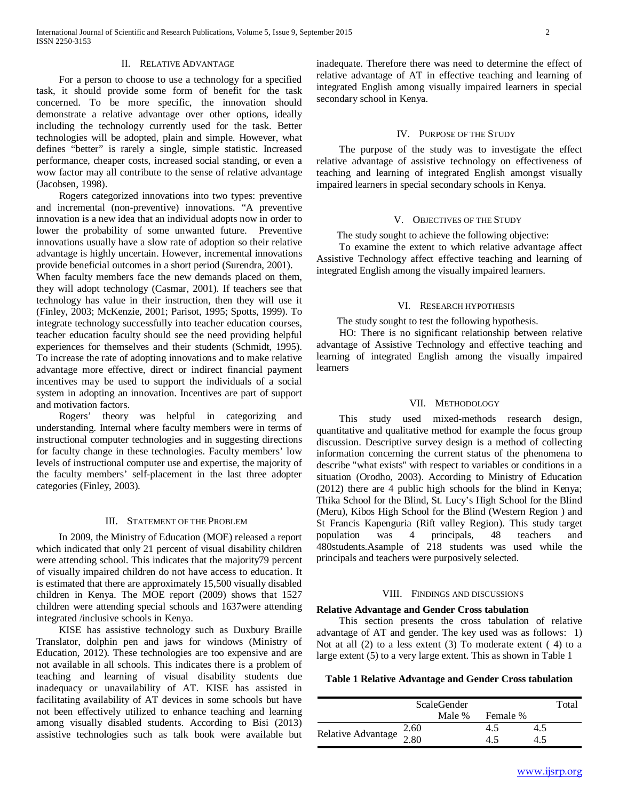## II. RELATIVE ADVANTAGE

 For a person to choose to use a technology for a specified task, it should provide some form of benefit for the task concerned. To be more specific, the innovation should demonstrate a relative advantage over other options, ideally including the technology currently used for the task. Better technologies will be adopted, plain and simple. However, what defines "better" is rarely a single, simple statistic. Increased performance, cheaper costs, increased social standing, or even a wow factor may all contribute to the sense of relative advantage (Jacobsen, 1998).

 Rogers categorized innovations into two types: preventive and incremental (non-preventive) innovations. "A preventive innovation is a new idea that an individual adopts now in order to lower the probability of some unwanted future. Preventive innovations usually have a slow rate of adoption so their relative advantage is highly uncertain. However, incremental innovations provide beneficial outcomes in a short period (Surendra, 2001).

When faculty members face the new demands placed on them, they will adopt technology (Casmar, 2001). If teachers see that technology has value in their instruction, then they will use it (Finley, 2003; McKenzie, 2001; Parisot, 1995; Spotts, 1999). To integrate technology successfully into teacher education courses, teacher education faculty should see the need providing helpful experiences for themselves and their students (Schmidt, 1995). To increase the rate of adopting innovations and to make relative advantage more effective, direct or indirect financial payment incentives may be used to support the individuals of a social system in adopting an innovation. Incentives are part of support and motivation factors.

 Rogers' theory was helpful in categorizing and understanding. Internal where faculty members were in terms of instructional computer technologies and in suggesting directions for faculty change in these technologies. Faculty members' low levels of instructional computer use and expertise, the majority of the faculty members' self-placement in the last three adopter categories (Finley, 2003).

#### III. STATEMENT OF THE PROBLEM

 In 2009, the Ministry of Education (MOE) released a report which indicated that only 21 percent of visual disability children were attending school. This indicates that the majority79 percent of visually impaired children do not have access to education. It is estimated that there are approximately 15,500 visually disabled children in Kenya. The MOE report (2009) shows that 1527 children were attending special schools and 1637were attending integrated /inclusive schools in Kenya.

 KISE has assistive technology such as Duxbury Braille Translator, dolphin pen and jaws for windows (Ministry of Education, 2012). These technologies are too expensive and are not available in all schools. This indicates there is a problem of teaching and learning of visual disability students due inadequacy or unavailability of AT. KISE has assisted in facilitating availability of AT devices in some schools but have not been effectively utilized to enhance teaching and learning among visually disabled students. According to Bisi (2013) assistive technologies such as talk book were available but inadequate. Therefore there was need to determine the effect of relative advantage of AT in effective teaching and learning of integrated English among visually impaired learners in special secondary school in Kenya.

#### IV. PURPOSE OF THE STUDY

 The purpose of the study was to investigate the effect relative advantage of assistive technology on effectiveness of teaching and learning of integrated English amongst visually impaired learners in special secondary schools in Kenya.

## V. OBJECTIVES OF THE STUDY

The study sought to achieve the following objective:

 To examine the extent to which relative advantage affect Assistive Technology affect effective teaching and learning of integrated English among the visually impaired learners.

#### VI. RESEARCH HYPOTHESIS

The study sought to test the following hypothesis.

 HO: There is no significant relationship between relative advantage of Assistive Technology and effective teaching and learning of integrated English among the visually impaired learners

#### VII. METHODOLOGY

 This study used mixed-methods research design, quantitative and qualitative method for example the focus group discussion. Descriptive survey design is a method of collecting information concerning the current status of the phenomena to describe "what exists" with respect to variables or conditions in a situation (Orodho, 2003). According to Ministry of Education (2012) there are 4 public high schools for the blind in Kenya; Thika School for the Blind, St. Lucy's High School for the Blind (Meru), Kibos High School for the Blind (Western Region ) and St Francis Kapenguria (Rift valley Region). This study target population was 4 principals, 48 teachers and 480students.Asample of 218 students was used while the principals and teachers were purposively selected.

#### VIII. FINDINGS AND DISCUSSIONS

### **Relative Advantage and Gender Cross tabulation**

 This section presents the cross tabulation of relative advantage of AT and gender. The key used was as follows: 1) Not at all (2) to a less extent (3) To moderate extent ( 4) to a large extent (5) to a very large extent. This as shown in Table 1

#### **Table 1 Relative Advantage and Gender Cross tabulation**

|                                        | <b>ScaleGender</b> |        |          |     |  |  |
|----------------------------------------|--------------------|--------|----------|-----|--|--|
|                                        |                    | Male % | Female % |     |  |  |
|                                        | 2.60               |        |          | 4.5 |  |  |
| Relative Advantage $\frac{2.80}{2.80}$ |                    |        |          |     |  |  |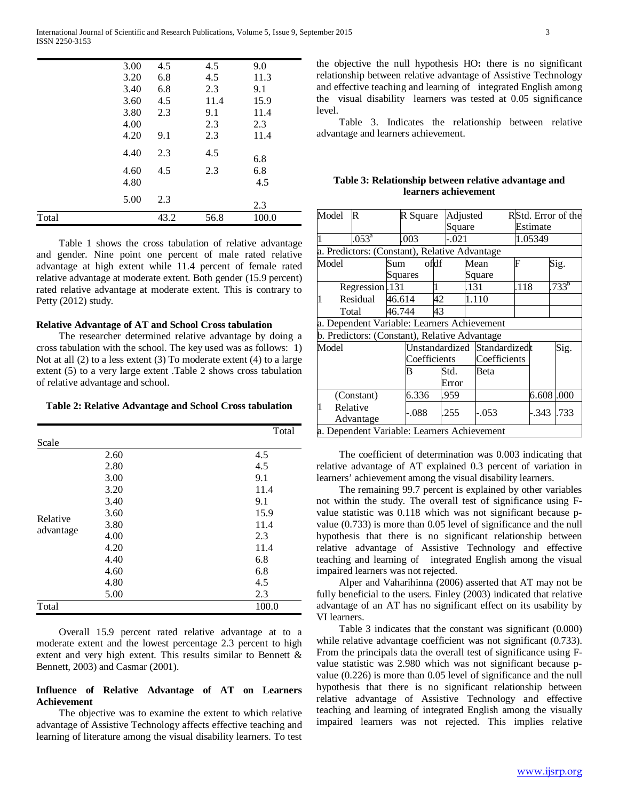| Total |      | 43.2 | 56.8 | 100.0 |
|-------|------|------|------|-------|
|       | 5.00 | 2.3  |      | 2.3   |
|       | 4.80 |      |      | 4.5   |
|       | 4.60 | 4.5  | 2.3  | 6.8   |
|       | 4.40 | 2.3  | 4.5  | 6.8   |
|       | 4.20 | 9.1  | 2.3  | 11.4  |
|       | 4.00 |      | 2.3  | 2.3   |
|       | 3.80 | 2.3  | 9.1  | 11.4  |
|       | 3.60 | 4.5  | 11.4 | 15.9  |
|       | 3.40 | 6.8  | 2.3  | 9.1   |
|       | 3.20 | 6.8  | 4.5  | 11.3  |
|       | 3.00 | 4.5  | 4.5  | 9.0   |

 Table 1 shows the cross tabulation of relative advantage and gender. Nine point one percent of male rated relative advantage at high extent while 11.4 percent of female rated relative advantage at moderate extent. Both gender (15.9 percent) rated relative advantage at moderate extent. This is contrary to Petty (2012) study.

## **Relative Advantage of AT and School Cross tabulation**

 The researcher determined relative advantage by doing a cross tabulation with the school. The key used was as follows: 1) Not at all (2) to a less extent (3) To moderate extent (4) to a large extent (5) to a very large extent .Table 2 shows cross tabulation of relative advantage and school.

**Table 2: Relative Advantage and School Cross tabulation**

|                       |      | Total |
|-----------------------|------|-------|
| Scale                 |      |       |
| Relative<br>advantage | 2.60 | 4.5   |
|                       | 2.80 | 4.5   |
|                       | 3.00 | 9.1   |
|                       | 3.20 | 11.4  |
|                       | 3.40 | 9.1   |
|                       | 3.60 | 15.9  |
|                       | 3.80 | 11.4  |
|                       | 4.00 | 2.3   |
|                       | 4.20 | 11.4  |
|                       | 4.40 | 6.8   |
|                       | 4.60 | 6.8   |
|                       | 4.80 | 4.5   |
|                       | 5.00 | 2.3   |
| Total                 |      | 100.0 |

 Overall 15.9 percent rated relative advantage at to a moderate extent and the lowest percentage 2.3 percent to high extent and very high extent. This results similar to Bennett & Bennett, 2003) and Casmar (2001).

## **Influence of Relative Advantage of AT on Learners Achievement**

 The objective was to examine the extent to which relative advantage of Assistive Technology affects effective teaching and learning of literature among the visual disability learners. To test

the objective the null hypothesis HO**:** there is no significant relationship between relative advantage of Assistive Technology and effective teaching and learning of integrated English among the visual disability learners was tested at 0.05 significance level.

 Table 3. Indicates the relationship between relative advantage and learners achievement.

## **Table 3: Relationship between relative advantage and learners achievement**

| Model                                         | $\mathbb R$           |                                               | R Square |    | Adjusted     |           |        | RStd. Error of the |           |           |  |
|-----------------------------------------------|-----------------------|-----------------------------------------------|----------|----|--------------|-----------|--------|--------------------|-----------|-----------|--|
|                                               |                       |                                               |          |    |              | Square    |        |                    | Estimate  |           |  |
| $\mathbf{1}$                                  | $.053^{\rm a}$        |                                               | .003     |    | -.021        |           |        | 1.05349            |           |           |  |
|                                               |                       | a. Predictors: (Constant), Relative Advantage |          |    |              |           |        |                    |           |           |  |
| Model<br>Sum                                  |                       |                                               | ofdf     |    |              | F<br>Mean |        |                    | Sig.      |           |  |
|                                               |                       |                                               | Squares  |    |              |           | Square |                    |           |           |  |
| Regression.131                                |                       |                                               |          |    |              | .131      |        | .118               |           | $733^{b}$ |  |
| $\overline{1}$                                | Residual              | 46.614                                        |          | 42 |              |           | 1.110  |                    |           |           |  |
| Total                                         |                       | 46.744                                        |          | 43 |              |           |        |                    |           |           |  |
| a. Dependent Variable: Learners Achievement   |                       |                                               |          |    |              |           |        |                    |           |           |  |
| b. Predictors: (Constant), Relative Advantage |                       |                                               |          |    |              |           |        |                    |           |           |  |
| Model                                         |                       | Unstandardized Standardizedt<br>Coefficients  |          |    | Coefficients |           |        |                    | Sig.      |           |  |
|                                               |                       |                                               | В        |    | Std.         |           | Beta   |                    |           |           |  |
|                                               |                       |                                               |          |    | Error        |           |        |                    |           |           |  |
|                                               | (Constant)            |                                               | 6.336    |    | .959         |           |        |                    | 6.608.000 |           |  |
| $\overline{1}$                                | Relative<br>Advantage |                                               | -.088    |    | .255         |           | -.053  |                    | .343      | .733      |  |
| a. Dependent Variable: Learners Achievement   |                       |                                               |          |    |              |           |        |                    |           |           |  |

 The coefficient of determination was 0.003 indicating that relative advantage of AT explained 0.3 percent of variation in learners' achievement among the visual disability learners.

 The remaining 99.7 percent is explained by other variables not within the study. The overall test of significance using Fvalue statistic was 0.118 which was not significant because pvalue (0.733) is more than 0.05 level of significance and the null hypothesis that there is no significant relationship between relative advantage of Assistive Technology and effective teaching and learning of integrated English among the visual impaired learners was not rejected.

 Alper and Vaharihinna (2006) asserted that AT may not be fully beneficial to the users. Finley (2003) indicated that relative advantage of an AT has no significant effect on its usability by VI learners.

 Table 3 indicates that the constant was significant (0.000) while relative advantage coefficient was not significant (0.733). From the principals data the overall test of significance using Fvalue statistic was 2.980 which was not significant because pvalue (0.226) is more than 0.05 level of significance and the null hypothesis that there is no significant relationship between relative advantage of Assistive Technology and effective teaching and learning of integrated English among the visually impaired learners was not rejected. This implies relative